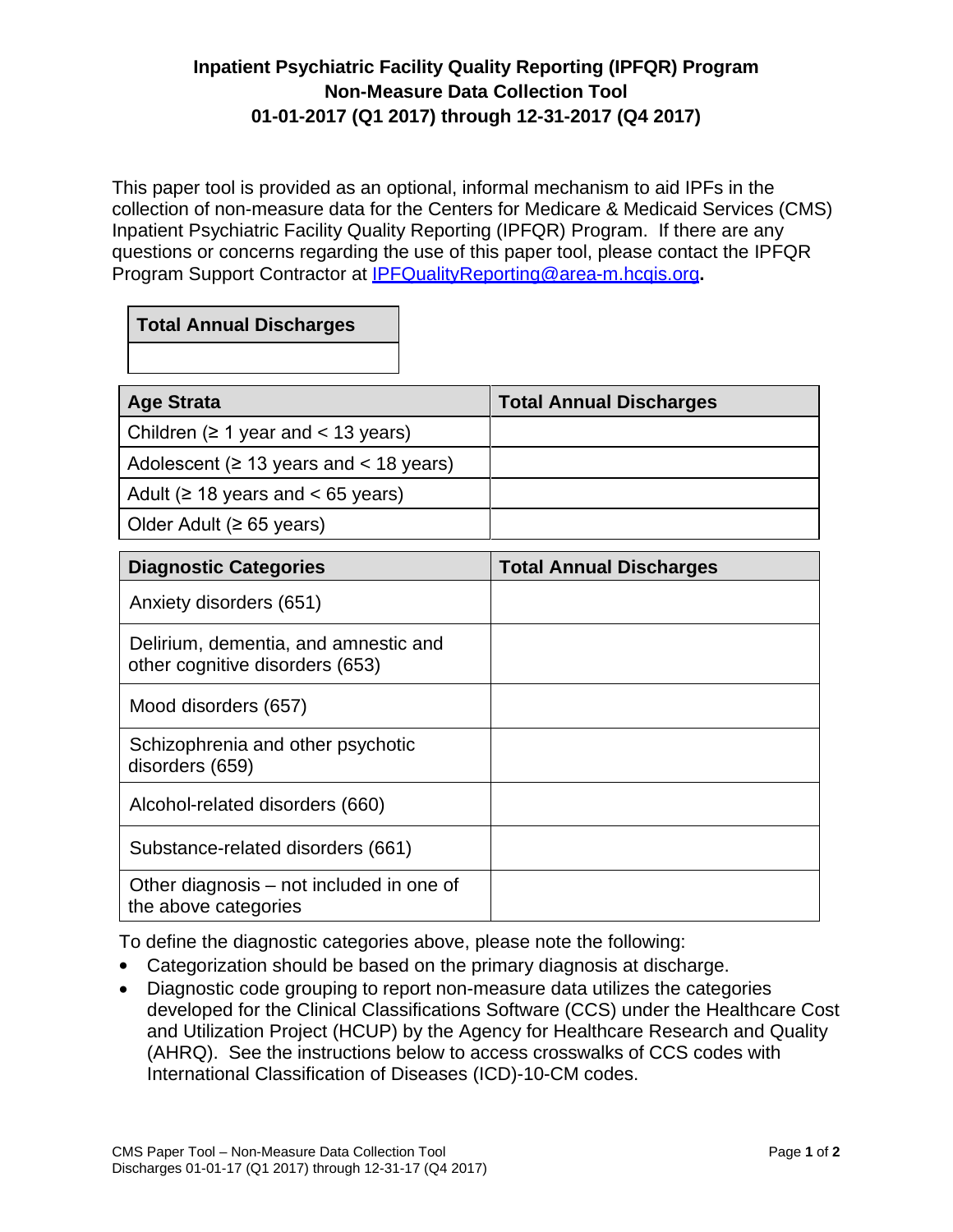## **Inpatient Psychiatric Facility Quality Reporting (IPFQR) Program Non-Measure Data Collection Tool 01-01-2017 (Q1 2017) through 12-31-2017 (Q4 2017)**

This paper tool is provided as an optional, informal mechanism to aid IPFs in the collection of non-measure data for the Centers for Medicare & Medicaid Services (CMS) Inpatient Psychiatric Facility Quality Reporting (IPFQR) Program. If there are any questions or concerns regarding the use of this paper tool, please contact the IPFQR Program Support Contractor at [IPFQualityReporting@area-m.hcqis.org](mailto:IPFQualityReporting@area-m.hcqis.org)**.**

## **Total Annual Discharges**

| <b>Age Strata</b>                            | <b>Total Annual Discharges</b> |
|----------------------------------------------|--------------------------------|
| Children ( $\geq 1$ year and < 13 years)     |                                |
| Adolescent ( $\geq$ 13 years and < 18 years) |                                |
| Adult ( $\geq$ 18 years and < 65 years)      |                                |
| Older Adult ( $\geq 65$ years)               |                                |

| <b>Diagnostic Categories</b>                                            | <b>Total Annual Discharges</b> |
|-------------------------------------------------------------------------|--------------------------------|
| Anxiety disorders (651)                                                 |                                |
| Delirium, dementia, and amnestic and<br>other cognitive disorders (653) |                                |
| Mood disorders (657)                                                    |                                |
| Schizophrenia and other psychotic<br>disorders (659)                    |                                |
| Alcohol-related disorders (660)                                         |                                |
| Substance-related disorders (661)                                       |                                |
| Other diagnosis – not included in one of<br>the above categories        |                                |

To define the diagnostic categories above, please note the following:

- Categorization should be based on the primary diagnosis at discharge.
- Diagnostic code grouping to report non-measure data utilizes the categories developed for the Clinical Classifications Software (CCS) under the Healthcare Cost and Utilization Project (HCUP) by the Agency for Healthcare Research and Quality (AHRQ). See the instructions below to access crosswalks of CCS codes with International Classification of Diseases (ICD)-10-CM codes.